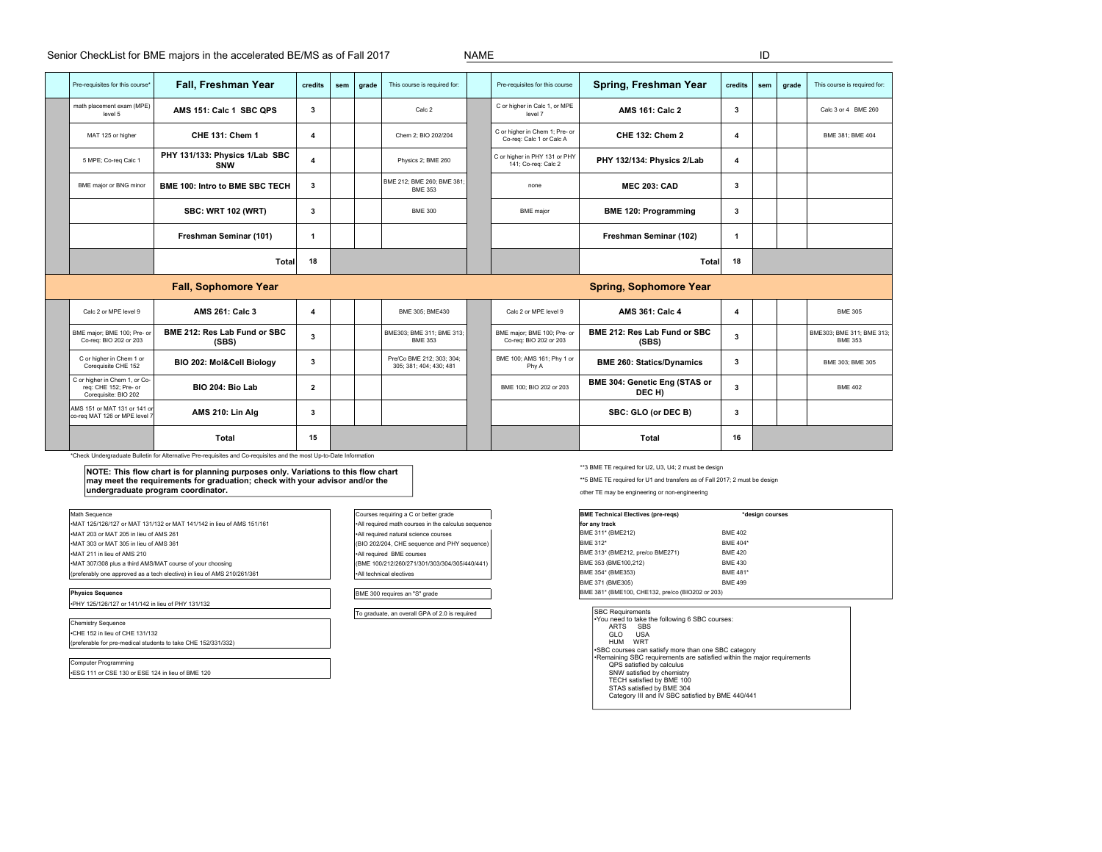Senior CheckList for BME majors in the accelerated BE/MS as of Fall 2017 NAME NAME

|                                                                       | Pre-requisites for this course*                                                                                                                                                                                                                                                                                                                                                          | Fall, Freshman Year                          | credits                 | sem | grade | This course is required for:                         |  | Pre-requisites for this course                             | Spring, Freshman Year                                                                                                                                                                                                              | credits | sem             | grade | This course is required for:                |
|-----------------------------------------------------------------------|------------------------------------------------------------------------------------------------------------------------------------------------------------------------------------------------------------------------------------------------------------------------------------------------------------------------------------------------------------------------------------------|----------------------------------------------|-------------------------|-----|-------|------------------------------------------------------|--|------------------------------------------------------------|------------------------------------------------------------------------------------------------------------------------------------------------------------------------------------------------------------------------------------|---------|-----------------|-------|---------------------------------------------|
|                                                                       | math placement exam (MPE)<br>level 5                                                                                                                                                                                                                                                                                                                                                     | AMS 151: Calc 1 SBC QPS                      | 3                       |     |       | Calc 2                                               |  | C or higher in Calc 1, or MPE<br>level 7                   | <b>AMS 161: Calc 2</b>                                                                                                                                                                                                             | 3       |                 |       | Calc 3 or 4 BME 260                         |
|                                                                       | MAT 125 or higher                                                                                                                                                                                                                                                                                                                                                                        | CHE 131: Chem 1                              | $\overline{4}$          |     |       | Chem 2: BIO 202/204                                  |  | C or higher in Chem 1; Pre- or<br>Co-req: Calc 1 or Calc A | <b>CHE 132: Chem 2</b>                                                                                                                                                                                                             | 4       |                 |       | BME 381; BME 404                            |
|                                                                       | 5 MPE; Co-req Calc 1                                                                                                                                                                                                                                                                                                                                                                     | PHY 131/133: Physics 1/Lab SBC<br><b>SNW</b> | $\overline{\mathbf{4}}$ |     |       | Physics 2; BME 260                                   |  | C or higher in PHY 131 or PHY<br>141; Co-req: Calc 2       | PHY 132/134: Physics 2/Lab                                                                                                                                                                                                         | 4       |                 |       |                                             |
|                                                                       | BME major or BNG minor                                                                                                                                                                                                                                                                                                                                                                   | <b>BME 100: Intro to BME SBC TECH</b>        | 3                       |     |       | BME 212; BME 260; BME 381<br><b>BME 353</b>          |  | none                                                       | <b>MEC 203: CAD</b>                                                                                                                                                                                                                | 3       |                 |       |                                             |
|                                                                       |                                                                                                                                                                                                                                                                                                                                                                                          | <b>SBC: WRT 102 (WRT)</b>                    | 3                       |     |       | <b>BME 300</b>                                       |  | <b>BME</b> maior                                           | <b>BME 120: Programming</b>                                                                                                                                                                                                        | 3       |                 |       |                                             |
|                                                                       |                                                                                                                                                                                                                                                                                                                                                                                          | Freshman Seminar (101)                       | $\mathbf{1}$            |     |       |                                                      |  |                                                            | Freshman Seminar (102)                                                                                                                                                                                                             | 1       |                 |       |                                             |
|                                                                       |                                                                                                                                                                                                                                                                                                                                                                                          | <b>Total</b>                                 | 18                      |     |       |                                                      |  |                                                            | <b>Total</b>                                                                                                                                                                                                                       | 18      |                 |       |                                             |
|                                                                       |                                                                                                                                                                                                                                                                                                                                                                                          | <b>Fall, Sophomore Year</b>                  |                         |     |       |                                                      |  |                                                            | <b>Spring, Sophomore Year</b>                                                                                                                                                                                                      |         |                 |       |                                             |
|                                                                       | Calc 2 or MPE level 9                                                                                                                                                                                                                                                                                                                                                                    | <b>AMS 261: Calc 3</b>                       | $\overline{4}$          |     |       | BME 305: BME430                                      |  | Calc 2 or MPE level 9                                      | <b>AMS 361: Calc 4</b>                                                                                                                                                                                                             | 4       |                 |       | <b>BME 305</b>                              |
|                                                                       | BME major; BME 100; Pre- or<br>Co-req: BIO 202 or 203                                                                                                                                                                                                                                                                                                                                    | BME 212: Res Lab Fund or SBC<br>(SBS)        | $\overline{\mathbf{3}}$ |     |       | BME303: BME 311: BME 313:<br><b>BME 353</b>          |  | BME major; BME 100; Pre- or<br>Co-req: BIO 202 or 203      | BME 212: Res Lab Fund or SBC<br>(SBS)                                                                                                                                                                                              | 3       |                 |       | BME303: BME 311: BME 313:<br><b>BME 353</b> |
|                                                                       | C or higher in Chem 1 or<br>Coreguisite CHE 152                                                                                                                                                                                                                                                                                                                                          | BIO 202: Mol&Cell Biology                    | 3                       |     |       | Pre/Co BME 212; 303; 304;<br>305: 381: 404: 430: 481 |  | BME 100; AMS 161; Phy 1 or<br>Phy A                        | <b>BME 260: Statics/Dynamics</b>                                                                                                                                                                                                   | 3       |                 |       | BME 303: BME 305                            |
|                                                                       | C or higher in Chem 1, or Co-<br>req: CHE 152; Pre- or<br>Coreguisite: BIO 202                                                                                                                                                                                                                                                                                                           | BIO 204: Bio Lab                             | $\overline{2}$          |     |       |                                                      |  | BME 100; BIO 202 or 203                                    | BME 304: Genetic Eng (STAS or<br>DEC H)                                                                                                                                                                                            | 3       |                 |       | <b>BME 402</b>                              |
|                                                                       | AMS 151 or MAT 131 or 141 or<br>co-reg MAT 126 or MPE level                                                                                                                                                                                                                                                                                                                              | AMS 210: Lin Alg                             | 3                       |     |       |                                                      |  |                                                            | SBC: GLO (or DEC B)                                                                                                                                                                                                                | 3       |                 |       |                                             |
|                                                                       |                                                                                                                                                                                                                                                                                                                                                                                          | <b>Total</b>                                 | 15                      |     |       |                                                      |  |                                                            | Total                                                                                                                                                                                                                              | 16      |                 |       |                                             |
|                                                                       | *Check Undergraduate Bulletin for Alternative Pre-requisites and Co-requisites and the most Up-to-Date Information<br>NOTE: This flow chart is for planning purposes only. Variations to this flow chart<br>may meet the requirements for graduation; check with your advisor and/or the<br>undergraduate program coordinator.<br>Math Sequence<br>Courses requiring a C or better grade |                                              |                         |     |       |                                                      |  |                                                            | **3 BME TE required for U2, U3, U4; 2 must be design<br>** 5 BME TE required for U1 and transfers as of Fall 2017; 2 must be design<br>other TE may be engineering or non-engineering<br><b>BME Technical Electives (pre-regs)</b> |         | *design courses |       |                                             |
| •MAT 125/126/127 or MAT 131/132 or MAT 141/142 in lieu of AMS 151/161 |                                                                                                                                                                                                                                                                                                                                                                                          |                                              |                         |     |       | All required math courses in the calculus sequence   |  |                                                            | for any track                                                                                                                                                                                                                      |         |                 |       |                                             |

| I Math Sequence                                                         | Courses requiring a $G$ or better grade             | <b>IBME Technical Electives (pre-reds)</b>                          | ≏a             |
|-------------------------------------------------------------------------|-----------------------------------------------------|---------------------------------------------------------------------|----------------|
| I-MAT 125/126/127 or MAT 131/132 or MAT 141/142 in lieu of AMS 151/161  | •All required math courses in the calculus sequence | for any track                                                       |                |
| -MAT 203 or MAT 205 in lieu of AMS 261                                  | .All required natural science courses               | BME 311* (BME212)                                                   | <b>BME 402</b> |
| -MAT 303 or MAT 305 in lieu of AMS 361                                  | (BIO 202/204, CHE sequence and PHY sequence)        | BME 312*                                                            | BME 404*       |
| I-MAT 211 in lieu of AMS 210                                            | •All required BME courses                           | BME 313* (BME212, pre/co BME271)                                    | <b>BMF 420</b> |
| •MAT 307/308 plus a third AMS/MAT course of your choosing               | (BME 100/212/260/271/301/303/304/305/440/441)       | BME 353 (BME100.212)                                                | <b>BME 430</b> |
| (preferably one approved as a tech elective) in lieu of AMS 210/261/361 | . All technical electives                           | BME 354* (BME353)                                                   | BME 481*       |
|                                                                         |                                                     | BME 371 (BME305)                                                    | <b>BMF 499</b> |
| <b>Physics Sequence</b>                                                 | BME 300 requires an "S" grade                       | BME 381* (BME100, CHE132, pre/co (BIO202 or 203)                    |                |
| .PHY 125/126/127 or 141/142 in lieu of PHY 131/132                      |                                                     |                                                                     |                |
|                                                                         | To graduate, an overall GPA of 2.0 is required      | <b>SBC Requirements</b>                                             |                |
| <b>Chemistry Sequence</b>                                               |                                                     | You need to take the following 6 SBC courses:<br><b>ARTS</b><br>SBS |                |
| CHE 152 in lieu of CHE 131/132                                          |                                                     | GLO<br><b>USA</b>                                                   |                |

(preferable for pre-medical students to take CHE 152/331/332)

Computer Programming •ESG 111 or CSE 130 or ESE 124 in lieu of BME 120

| <b>BME Technical Electives (pre-regs)</b>        | *design courses |  |
|--------------------------------------------------|-----------------|--|
| for any track                                    |                 |  |
| BME 311* (BME212)                                | <b>BME 402</b>  |  |
| BME 312*                                         | <b>BMF 404*</b> |  |
| BME 313* (BME212, pre/co BME271)                 | <b>BMF 420</b>  |  |
| BME 353 (BME100,212)                             | <b>BME 430</b>  |  |
| BME 354* (BME353)                                | <b>BMF 481*</b> |  |
| BME 371 (BME305)                                 | <b>BMF 499</b>  |  |
| BME 381* (BME100, CHE132, pre/co (BIO202 or 203) |                 |  |

| <b>ISBC Requirements</b>                                                |
|-------------------------------------------------------------------------|
| You need to take the following 6 SBC courses:                           |
| <b>ARTS</b><br>SBS                                                      |
| USA<br>GI O                                                             |
| HUM<br>WRT                                                              |
| •SBC courses can satisfy more than one SBC category                     |
| •Remaining SBC requirements are satisfied within the major requirements |
| QPS satisfied by calculus                                               |
| SNW satisfied by chemistry                                              |
| TECH satisfied by BME 100                                               |
| STAS satisfied by BME 304                                               |
| Category III and IV SBC satisfied by BME 440/441                        |
|                                                                         |
|                                                                         |